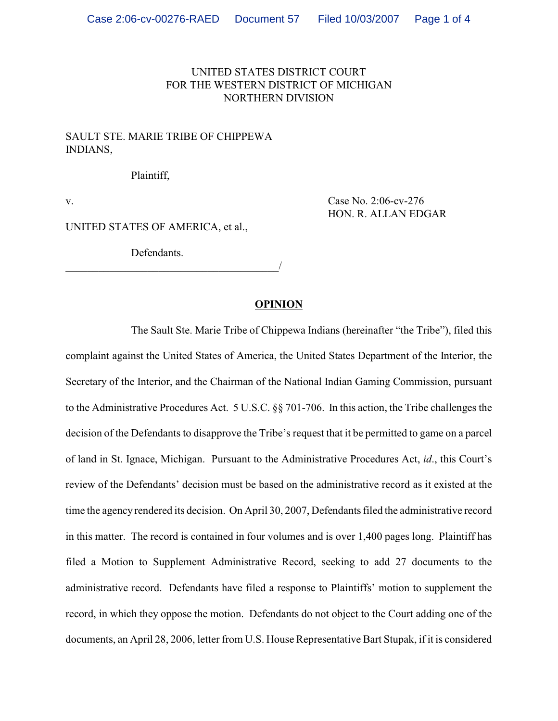## UNITED STATES DISTRICT COURT FOR THE WESTERN DISTRICT OF MICHIGAN NORTHERN DIVISION

## SAULT STE. MARIE TRIBE OF CHIPPEWA INDIANS,

Plaintiff,

v. Case No. 2:06-cv-276 HON. R. ALLAN EDGAR

UNITED STATES OF AMERICA, et al.,

Defendants.

\_\_\_\_\_\_\_\_\_\_\_\_\_\_\_\_\_\_\_\_\_\_\_\_\_\_\_\_\_\_\_\_\_\_\_\_\_\_\_/

## **OPINION**

The Sault Ste. Marie Tribe of Chippewa Indians (hereinafter "the Tribe"), filed this complaint against the United States of America, the United States Department of the Interior, the Secretary of the Interior, and the Chairman of the National Indian Gaming Commission, pursuant to the Administrative Procedures Act. 5 U.S.C. §§ 701-706. In this action, the Tribe challenges the decision of the Defendants to disapprove the Tribe's request that it be permitted to game on a parcel of land in St. Ignace, Michigan. Pursuant to the Administrative Procedures Act, *id*., this Court's review of the Defendants' decision must be based on the administrative record as it existed at the time the agency rendered its decision. On April 30, 2007, Defendants filed the administrative record in this matter. The record is contained in four volumes and is over 1,400 pages long. Plaintiff has filed a Motion to Supplement Administrative Record, seeking to add 27 documents to the administrative record. Defendants have filed a response to Plaintiffs' motion to supplement the record, in which they oppose the motion. Defendants do not object to the Court adding one of the documents, an April 28, 2006, letter from U.S. House Representative Bart Stupak, if it is considered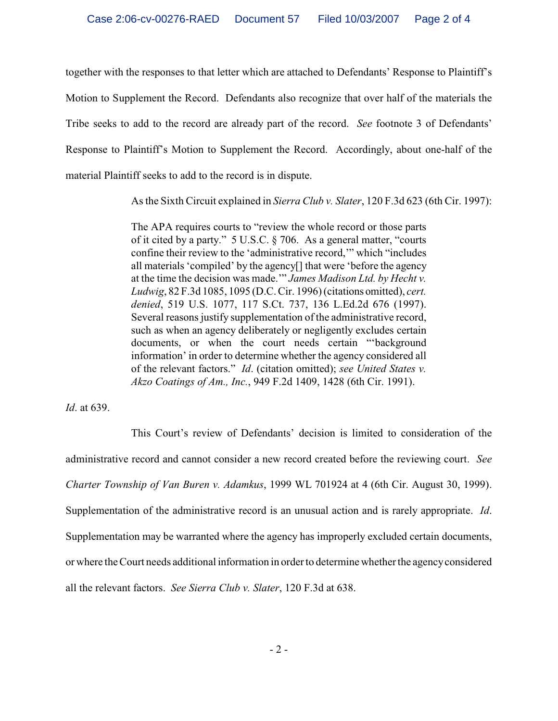together with the responses to that letter which are attached to Defendants' Response to Plaintiff's Motion to Supplement the Record. Defendants also recognize that over half of the materials the Tribe seeks to add to the record are already part of the record. *See* footnote 3 of Defendants' Response to Plaintiff's Motion to Supplement the Record. Accordingly, about one-half of the material Plaintiff seeks to add to the record is in dispute.

As the Sixth Circuit explained in *Sierra Club v. Slater*, 120 F.3d 623 (6th Cir. 1997):

The APA requires courts to "review the whole record or those parts of it cited by a party." 5 U.S.C. § 706. As a general matter, "courts confine their review to the 'administrative record,'" which "includes all materials 'compiled' by the agency[] that were 'before the agency at the time the decision was made.'" *James Madison Ltd. by Hecht v. Ludwig*, 82 F.3d 1085, 1095 (D.C. Cir. 1996) (citations omitted), *cert. denied*, 519 U.S. 1077, 117 S.Ct. 737, 136 L.Ed.2d 676 (1997). Several reasons justify supplementation of the administrative record, such as when an agency deliberately or negligently excludes certain documents, or when the court needs certain "'background information' in order to determine whether the agency considered all of the relevant factors." *Id*. (citation omitted); *see United States v. Akzo Coatings of Am., Inc.*, 949 F.2d 1409, 1428 (6th Cir. 1991).

*Id*. at 639.

This Court's review of Defendants' decision is limited to consideration of the administrative record and cannot consider a new record created before the reviewing court. *See Charter Township of Van Buren v. Adamkus*, 1999 WL 701924 at 4 (6th Cir. August 30, 1999). Supplementation of the administrative record is an unusual action and is rarely appropriate. *Id*. Supplementation may be warranted where the agency has improperly excluded certain documents, or where the Court needs additional information in order to determine whether the agency considered all the relevant factors. *See Sierra Club v. Slater*, 120 F.3d at 638.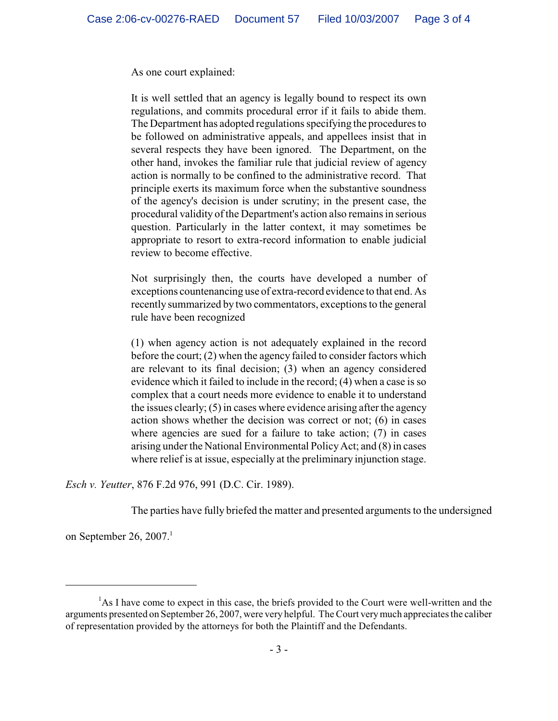As one court explained:

It is well settled that an agency is legally bound to respect its own regulations, and commits procedural error if it fails to abide them. The Department has adopted regulations specifying the procedures to be followed on administrative appeals, and appellees insist that in several respects they have been ignored. The Department, on the other hand, invokes the familiar rule that judicial review of agency action is normally to be confined to the administrative record. That principle exerts its maximum force when the substantive soundness of the agency's decision is under scrutiny; in the present case, the procedural validity of the Department's action also remains in serious question. Particularly in the latter context, it may sometimes be appropriate to resort to extra-record information to enable judicial review to become effective.

Not surprisingly then, the courts have developed a number of exceptions countenancing use of extra-record evidence to that end. As recently summarized by two commentators, exceptions to the general rule have been recognized

(1) when agency action is not adequately explained in the record before the court; (2) when the agency failed to consider factors which are relevant to its final decision; (3) when an agency considered evidence which it failed to include in the record; (4) when a case is so complex that a court needs more evidence to enable it to understand the issues clearly; (5) in cases where evidence arising after the agency action shows whether the decision was correct or not; (6) in cases where agencies are sued for a failure to take action; (7) in cases arising under the National Environmental Policy Act; and (8) in cases where relief is at issue, especially at the preliminary injunction stage.

*Esch v. Yeutter*, 876 F.2d 976, 991 (D.C. Cir. 1989).

The parties have fully briefed the matter and presented arguments to the undersigned

on September 26, 2007.<sup>1</sup>

 $A<sup>1</sup>$ As I have come to expect in this case, the briefs provided to the Court were well-written and the arguments presented on September 26, 2007, were very helpful. The Court very much appreciates the caliber of representation provided by the attorneys for both the Plaintiff and the Defendants.